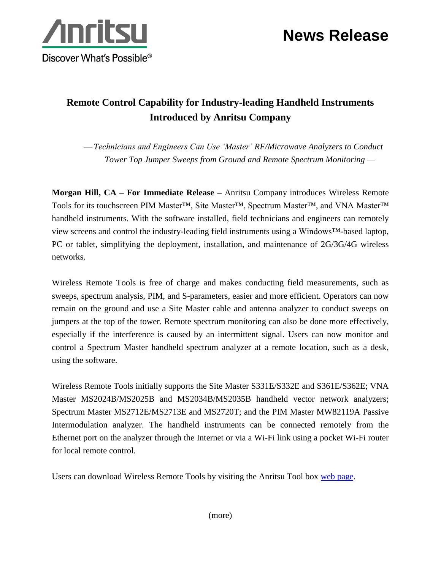



## **Remote Control Capability for Industry-leading Handheld Instruments Introduced by Anritsu Company**

—*Technicians and Engineers Can Use 'Master' RF/Microwave Analyzers to Conduct Tower Top Jumper Sweeps from Ground and Remote Spectrum Monitoring —*

**Morgan Hill, CA – For Immediate Release –** Anritsu Company introduces Wireless Remote Tools for its touchscreen PIM Master<sup>™</sup>, Site Master<sup>™</sup>, Spectrum Master<sup>™</sup>, and VNA Master<sup>™</sup> handheld instruments. With the software installed, field technicians and engineers can remotely view screens and control the industry-leading field instruments using a Windows™-based laptop, PC or tablet, simplifying the deployment, installation, and maintenance of 2G/3G/4G wireless networks.

Wireless Remote Tools is free of charge and makes conducting field measurements, such as sweeps, spectrum analysis, PIM, and S-parameters, easier and more efficient. Operators can now remain on the ground and use a Site Master cable and antenna analyzer to conduct sweeps on jumpers at the top of the tower. Remote spectrum monitoring can also be done more effectively, especially if the interference is caused by an intermittent signal. Users can now monitor and control a Spectrum Master handheld spectrum analyzer at a remote location, such as a desk, using the software.

Wireless Remote Tools initially supports the Site Master S331E/S332E and S361E/S362E; VNA Master MS2024B/MS2025B and MS2034B/MS2035B handheld vector network analyzers; Spectrum Master MS2712E/MS2713E and MS2720T; and the PIM Master MW82119A Passive Intermodulation analyzer. The handheld instruments can be connected remotely from the Ethernet port on the analyzer through the Internet or via a Wi-Fi link using a pocket Wi-Fi router for local remote control.

Users can download Wireless Remote Tools by visiting the Anritsu Tool box [web page.](http://www.anritsu.com/en-US/Services-Support/Handheld-Tools-Tool-Box.aspx)